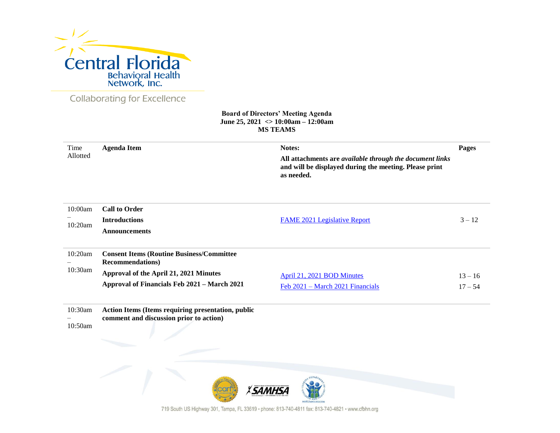

**Collaborating for Excellence** 

## **Board of Directors' Meeting Agenda June 25, 2021 <> 10:00am – 12:00am MS TEAMS**

| Time<br>Allotted   | <b>Agenda Item</b>                                                                                                                                                      | Notes:<br>All attachments are <i>available through the document links</i><br>and will be displayed during the meeting. Please print<br>as needed. | Pages                  |
|--------------------|-------------------------------------------------------------------------------------------------------------------------------------------------------------------------|---------------------------------------------------------------------------------------------------------------------------------------------------|------------------------|
| 10:00am<br>10:20am | <b>Call to Order</b><br><b>Introductions</b><br><b>Announcements</b>                                                                                                    | <b>FAME 2021 Legislative Report</b>                                                                                                               | $3 - 12$               |
| 10:20am<br>10:30am | <b>Consent Items (Routine Business/Committee)</b><br><b>Recommendations</b> )<br>Approval of the April 21, 2021 Minutes<br>Approval of Financials Feb 2021 – March 2021 | April 21, 2021 BOD Minutes<br>Feb 2021 – March 2021 Financials                                                                                    | $13 - 16$<br>$17 - 54$ |

| 10:30am                  | <b>Action Items (Items requiring presentation, public</b> |
|--------------------------|-----------------------------------------------------------|
| $\overline{\phantom{a}}$ | comment and discussion prior to action)                   |
| 10:50am                  |                                                           |



719 South US Highway 301, Tampa, FL 33619 · phone: 813-740-4811 fax: 813-740-4821 · www.cfbhn.org